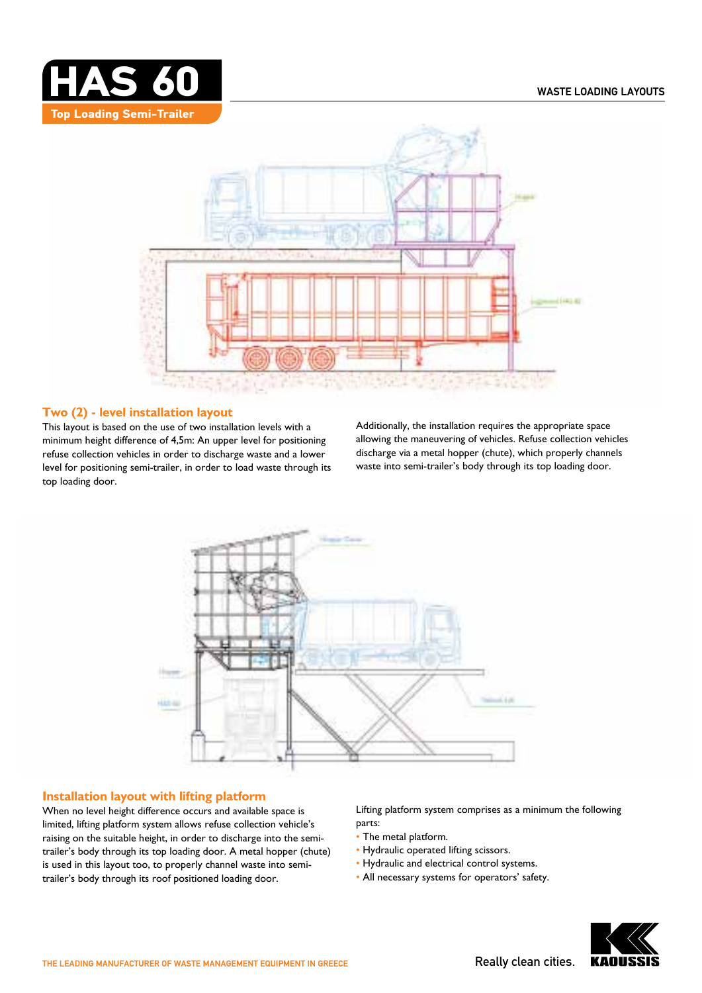



## **Two (2) - level installation layout**

This layout is based on the use of two installation levels with a minimum height difference of 4,5m: An upper level for positioning refuse collection vehicles in order to discharge waste and a lower level for positioning semi-trailer, in order to load waste through its top loading door.

Additionally, the installation requires the appropriate space allowing the maneuvering of vehicles. Refuse collection vehicles discharge via a metal hopper (chute), which properly channels waste into semi-trailer's body through its top loading door.



## **Installation layout with lifting platform**

When no level height difference occurs and available space is limited, lifting platform system allows refuse collection vehicle's raising on the suitable height, in order to discharge into the semitrailer's body through its top loading door. A metal hopper (chute) is used in this layout too, to properly channel waste into semitrailer's body through its roof positioned loading door.

Lifting platform system comprises as a minimum the following parts:

- The metal platform.
- Hydraulic operated lifting scissors.
- Hydraulic and electrical control systems.
- All necessary systems for operators' safety.